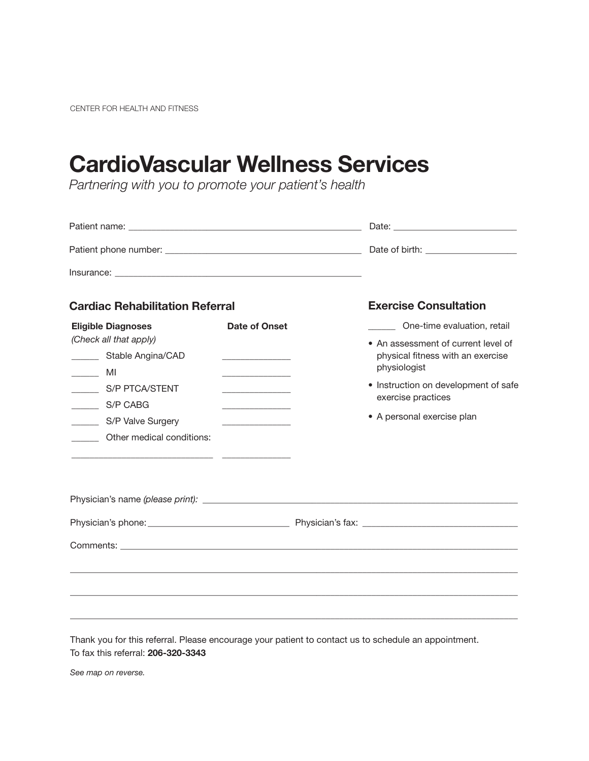CENTER FOR HEALTH AND FITNESS

# CardioVascular Wellness Services

*Partnering with you to promote your patient's health*

| <b>Cardiac Rehabilitation Referral</b>                                   |                                           |  | <b>Exercise Consultation</b>                                                             |
|--------------------------------------------------------------------------|-------------------------------------------|--|------------------------------------------------------------------------------------------|
| <b>Eligible Diagnoses</b>                                                | Date of Onset                             |  | One-time evaluation, retail                                                              |
| (Check all that apply)<br>________ Stable Angina/CAD<br>$\frac{1}{2}$ MI | the control of the control of the         |  | • An assessment of current level of<br>physical fitness with an exercise<br>physiologist |
| __________ S/P PTCA/STENT<br>S/P CABG                                    | <u> 1989 - Johann Barbara, martin a</u>   |  | • Instruction on development of safe<br>exercise practices                               |
| S/P Valve Surgery<br>________ Other medical conditions:                  | the control of the control of the control |  | • A personal exercise plan                                                               |
|                                                                          |                                           |  |                                                                                          |
|                                                                          |                                           |  |                                                                                          |
|                                                                          |                                           |  |                                                                                          |
|                                                                          |                                           |  |                                                                                          |
|                                                                          |                                           |  | ,我们也不会有什么。""我们的人,我们也不会有什么?""我们的人,我们也不会有什么?""我们的人,我们也不会有什么?""我们的人,我们也不会有什么?""我们的人         |
|                                                                          |                                           |  |                                                                                          |
|                                                                          |                                           |  | ,我们也不会有一个人的事情。""我们的人,我们也不会有一个人的人,我们也不会有一个人的人,我们也不会有一个人的人,我们也不会有一个人的人,我们也不会有一个人的人,        |
|                                                                          |                                           |  |                                                                                          |

Thank you for this referral. Please encourage your patient to contact us to schedule an appointment. To fax this referral: 206-320-3343

*See map on reverse.*